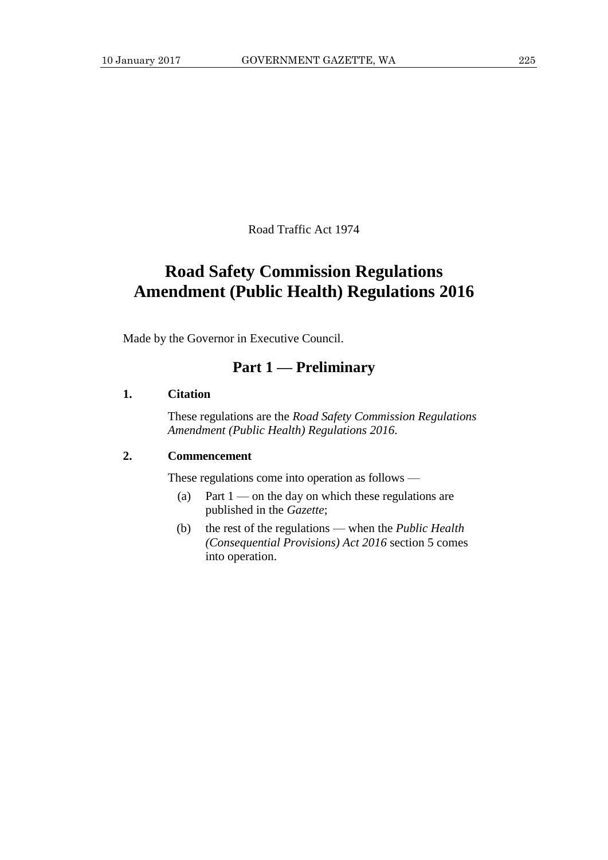Road Traffic Act 1974

# **Road Safety Commission Regulations Amendment (Public Health) Regulations 2016**

Made by the Governor in Executive Council.

### **Part 1 — Preliminary**

#### **1. Citation**

These regulations are the *Road Safety Commission Regulations Amendment (Public Health) Regulations 2016*.

#### **2. Commencement**

These regulations come into operation as follows —

- (a) Part  $1$  on the day on which these regulations are published in the *Gazette*;
- (b) the rest of the regulations when the *Public Health (Consequential Provisions) Act 2016* section 5 comes into operation.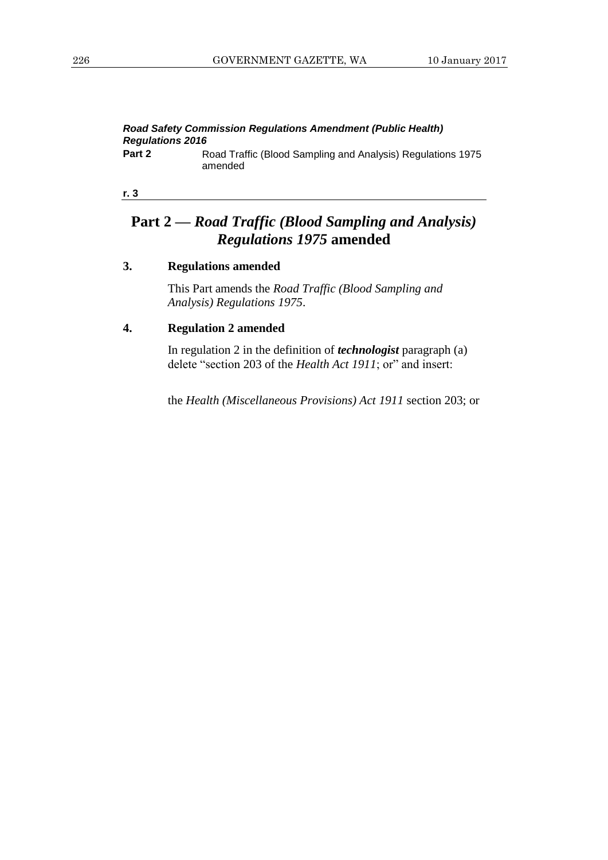#### *Road Safety Commission Regulations Amendment (Public Health) Regulations 2016* **Part 2** Road Traffic (Blood Sampling and Analysis) Regulations 1975

amended

**r. 3**

## **Part 2 —** *Road Traffic (Blood Sampling and Analysis) Regulations 1975* **amended**

#### **3. Regulations amended**

This Part amends the *Road Traffic (Blood Sampling and Analysis) Regulations 1975*.

### **4. Regulation 2 amended**

In regulation 2 in the definition of *technologist* paragraph (a) delete "section 203 of the *Health Act 1911*; or" and insert:

the *Health (Miscellaneous Provisions) Act 1911* section 203; or